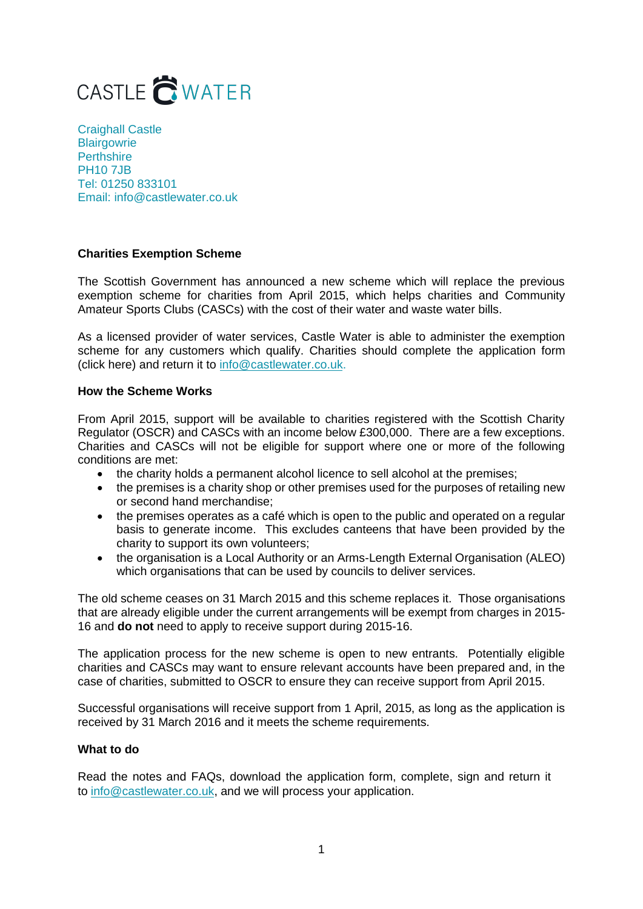

Craighall Castle **Blairgowrie Perthshire** PH10 7JB Tel: 01250 833101 Email: info@castlewater.co.uk

# **Charities Exemption Scheme**

The Scottish Government has announced a new scheme which will replace the previous exemption scheme for charities from April 2015, which helps charities and Community Amateur Sports Clubs (CASCs) with the cost of their water and waste water bills.

As a licensed provider of water services, Castle Water is able to administer the exemption scheme for any customers which qualify. Charities should complete the application form (click here) and return it t[o info@castlewater.co.uk.](mailto:info@castlewater.co.uk) 

# **How the Scheme Works**

From April 2015, support will be available to charities registered with the Scottish Charity Regulator (OSCR) and CASCs with an income below £300,000. There are a few exceptions. Charities and CASCs will not be eligible for support where one or more of the following conditions are met:

- the charity holds a permanent alcohol licence to sell alcohol at the premises;
- the premises is a charity shop or other premises used for the purposes of retailing new or second hand merchandise;
- the premises operates as a café which is open to the public and operated on a regular basis to generate income. This excludes canteens that have been provided by the charity to support its own volunteers;
- the organisation is a Local Authority or an Arms-Length External Organisation (ALEO) which organisations that can be used by councils to deliver services.

The old scheme ceases on 31 March 2015 and this scheme replaces it. Those organisations that are already eligible under the current arrangements will be exempt from charges in 2015- 16 and **do not** need to apply to receive support during 2015-16.

The application process for the new scheme is open to new entrants. Potentially eligible charities and CASCs may want to ensure relevant accounts have been prepared and, in the case of charities, submitted to OSCR to ensure they can receive support from April 2015.

Successful organisations will receive support from 1 April, 2015, as long as the application is received by 31 March 2016 and it meets the scheme requirements.

# **What to do**

Read the notes and FAQs, download the application form, complete, sign and return it [to info@castlewater.co.u](mailto:info@castlewater.co.uk)k, and we will process your application.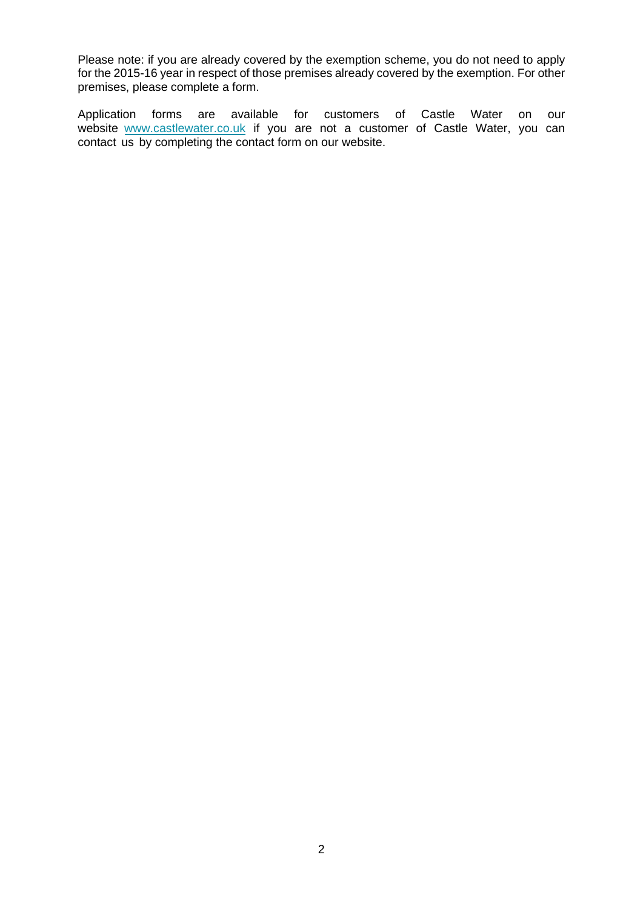Please note: if you are already covered by the exemption scheme, you do not need to apply for the 2015-16 year in respect of those premises already covered by the exemption. For other premises, please complete a form.

Application forms are available for customers of Castle Water on our [website www.castlewat](http://www.castlewater.co.uk/)er.co.uk if you are not a customer of Castle Water, you can contact us by completing the contact form on our website.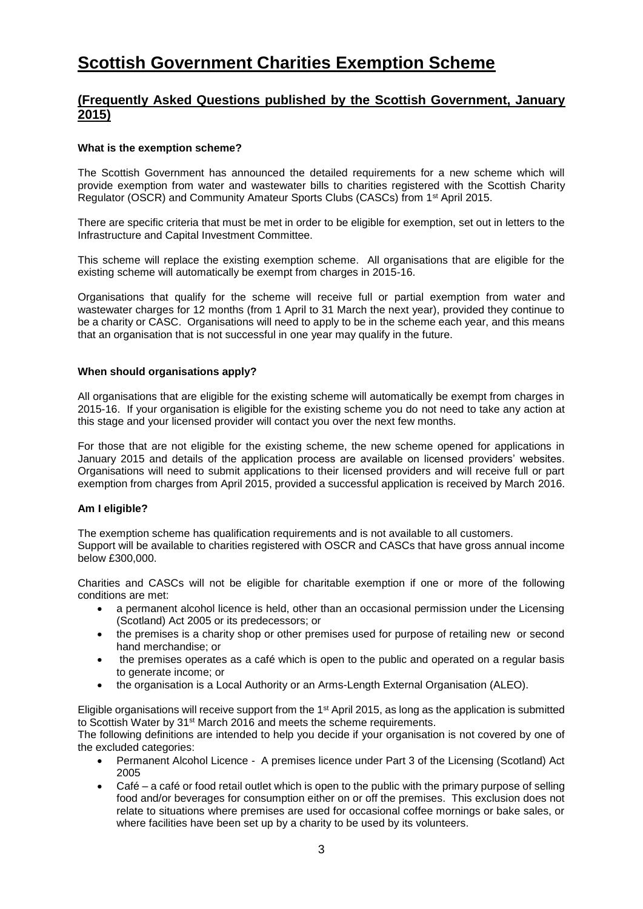# **Scottish Government Charities Exemption Scheme**

# **(Frequently Asked Questions published by the Scottish Government, January 2015)**

# **What is the exemption scheme?**

The Scottish Government has announced the detailed requirements for a new scheme which will provide exemption from water and wastewater bills to charities registered with the Scottish Charity Regulator (OSCR) and Community Amateur Sports Clubs (CASCs) from 1st April 2015.

There are specific criteria that must be met in order to be eligible for exemption, set out in letters to the Infrastructure and Capital Investment Committee.

This scheme will replace the existing exemption scheme. All organisations that are eligible for the existing scheme will automatically be exempt from charges in 2015-16.

Organisations that qualify for the scheme will receive full or partial exemption from water and wastewater charges for 12 months (from 1 April to 31 March the next year), provided they continue to be a charity or CASC. Organisations will need to apply to be in the scheme each year, and this means that an organisation that is not successful in one year may qualify in the future.

# **When should organisations apply?**

All organisations that are eligible for the existing scheme will automatically be exempt from charges in 2015-16. If your organisation is eligible for the existing scheme you do not need to take any action at this stage and your licensed provider will contact you over the next few months.

For those that are not eligible for the existing scheme, the new scheme opened for applications in January 2015 and details of the application process are available on licensed providers' websites. Organisations will need to submit applications to their licensed providers and will receive full or part exemption from charges from April 2015, provided a successful application is received by March 2016.

# **Am I eligible?**

The exemption scheme has qualification requirements and is not available to all customers. Support will be available to charities registered with OSCR and CASCs that have gross annual income below £300,000.

Charities and CASCs will not be eligible for charitable exemption if one or more of the following conditions are met:

- a permanent alcohol licence is held, other than an occasional permission under the Licensing (Scotland) Act 2005 or its predecessors; or
- the premises is a charity shop or other premises used for purpose of retailing new or second hand merchandise; or
- the premises operates as a café which is open to the public and operated on a regular basis to generate income; or
- the organisation is a Local Authority or an Arms-Length External Organisation (ALEO).

Eligible organisations will receive support from the 1st April 2015, as long as the application is submitted to Scottish Water by 31st March 2016 and meets the scheme requirements.

The following definitions are intended to help you decide if your organisation is not covered by one of the excluded categories:

- Permanent Alcohol Licence A premises licence under Part 3 of the Licensing (Scotland) Act 2005
- Café a café or food retail outlet which is open to the public with the primary purpose of selling food and/or beverages for consumption either on or off the premises. This exclusion does not relate to situations where premises are used for occasional coffee mornings or bake sales, or where facilities have been set up by a charity to be used by its volunteers.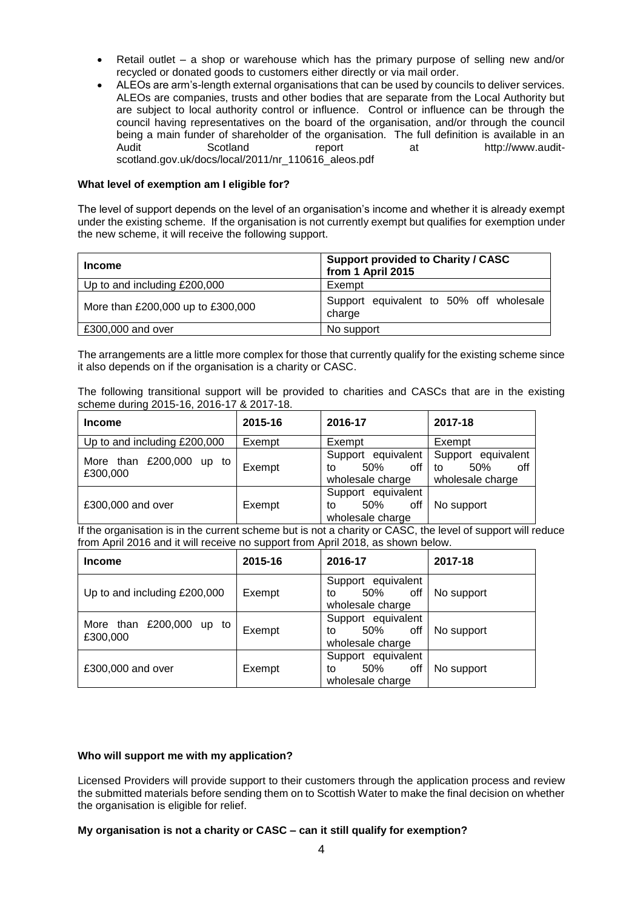- Retail outlet a shop or warehouse which has the primary purpose of selling new and/or recycled or donated goods to customers either directly or via mail order.
- ALEOs are arm's-length external organisations that can be used by councils to deliver services. ALEOs are companies, trusts and other bodies that are separate from the Local Authority but are subject to local authority control or influence. Control or influence can be through the council having representatives on the board of the organisation, and/or through the council being a main funder of shareholder of the organisation. The full definition is available in an Audit Scotland report at http://www.auditscotland.gov.uk/docs/local/2011/nr\_110616\_aleos.pdf

# **What level of exemption am I eligible for?**

The level of support depends on the level of an organisation's income and whether it is already exempt under the existing scheme. If the organisation is not currently exempt but qualifies for exemption under the new scheme, it will receive the following support.

| <b>Income</b>                     | <b>Support provided to Charity / CASC</b><br>from 1 April 2015 |  |  |  |
|-----------------------------------|----------------------------------------------------------------|--|--|--|
| Up to and including £200,000      | Exempt                                                         |  |  |  |
| More than £200,000 up to £300,000 | Support equivalent to 50% off wholesale<br>charge              |  |  |  |
| £300,000 and over                 | No support                                                     |  |  |  |

The arrangements are a little more complex for those that currently qualify for the existing scheme since it also depends on if the organisation is a charity or CASC.

|  | The following transitional support will be provided to charities and CASCs that are in the existing |  |  |  |  |  |  |  |
|--|-----------------------------------------------------------------------------------------------------|--|--|--|--|--|--|--|
|  | scheme during 2015-16, 2016-17 & 2017-18.                                                           |  |  |  |  |  |  |  |

| <b>Income</b>                           | 2015-16 | 2016-17                                                    | 2017-18                                                    |
|-----------------------------------------|---------|------------------------------------------------------------|------------------------------------------------------------|
| Up to and including £200,000            | Exempt  | Exempt                                                     | Exempt                                                     |
| More than £200,000<br>up to<br>£300,000 | Exempt  | Support equivalent<br>off<br>50%<br>t٥<br>wholesale charge | Support equivalent<br>50%<br>off<br>to<br>wholesale charge |
| £300,000 and over                       | Exempt  | Support equivalent<br>off<br>50%<br>to<br>wholesale charge | No support                                                 |

If the organisation is in the current scheme but is not a charity or CASC, the level of support will reduce from April 2016 and it will receive no support from April 2018, as shown below.

| <b>Income</b>                             | 2015-16 | 2016-17                                                    | 2017-18    |
|-------------------------------------------|---------|------------------------------------------------------------|------------|
| Up to and including £200,000              | Exempt  | Support equivalent<br>off<br>50%<br>to<br>wholesale charge | No support |
| More than $£200,000$<br>up to<br>£300,000 | Exempt  | Support equivalent<br>50%<br>off<br>to<br>wholesale charge | No support |
| £300,000 and over                         | Exempt  | Support equivalent<br>50%<br>off<br>to<br>wholesale charge | No support |

### **Who will support me with my application?**

Licensed Providers will provide support to their customers through the application process and review the submitted materials before sending them on to Scottish Water to make the final decision on whether the organisation is eligible for relief.

### **My organisation is not a charity or CASC – can it still qualify for exemption?**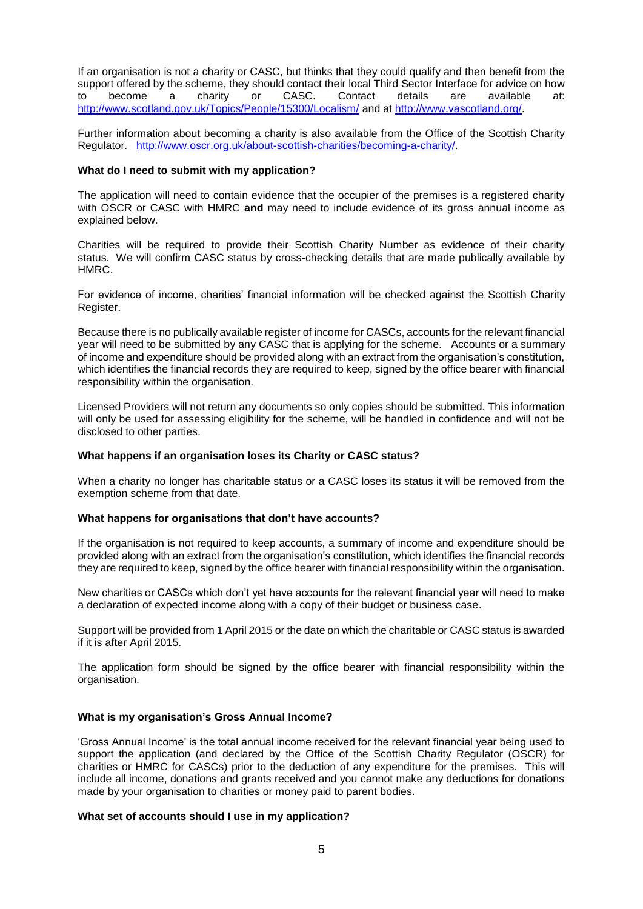If an organisation is not a charity or CASC, but thinks that they could qualify and then benefit from the support offered by the scheme, they should contact their local Third Sector Interface for advice on how to become a charity or CASC. Contact details are available at: <http://www.scotland.gov.uk/Topics/People/15300/Localism/> and at [http://www.vascotland.org/.](http://www.vascotland.org/) 

Further information about becoming a charity is also available from the Office of the Scottish Charity Regulator. [http://www.oscr.org.uk/about-scottish-charities/becoming-a-charity/.](http://www.oscr.org.uk/about-scottish-charities/becoming-a-charity/)

### **What do I need to submit with my application?**

The application will need to contain evidence that the occupier of the premises is a registered charity with OSCR or CASC with HMRC **and** may need to include evidence of its gross annual income as explained below.

Charities will be required to provide their Scottish Charity Number as evidence of their charity status. We will confirm CASC status by cross-checking details that are made publically available by HMRC.

For evidence of income, charities' financial information will be checked against the Scottish Charity Register.

Because there is no publically available register of income for CASCs, accounts for the relevant financial year will need to be submitted by any CASC that is applying for the scheme. Accounts or a summary of income and expenditure should be provided along with an extract from the organisation's constitution, which identifies the financial records they are required to keep, signed by the office bearer with financial responsibility within the organisation.

Licensed Providers will not return any documents so only copies should be submitted. This information will only be used for assessing eligibility for the scheme, will be handled in confidence and will not be disclosed to other parties.

# **What happens if an organisation loses its Charity or CASC status?**

When a charity no longer has charitable status or a CASC loses its status it will be removed from the exemption scheme from that date.

### **What happens for organisations that don't have accounts?**

If the organisation is not required to keep accounts, a summary of income and expenditure should be provided along with an extract from the organisation's constitution, which identifies the financial records they are required to keep, signed by the office bearer with financial responsibility within the organisation.

New charities or CASCs which don't yet have accounts for the relevant financial year will need to make a declaration of expected income along with a copy of their budget or business case.

Support will be provided from 1 April 2015 or the date on which the charitable or CASC status is awarded if it is after April 2015.

The application form should be signed by the office bearer with financial responsibility within the organisation.

# **What is my organisation's Gross Annual Income?**

'Gross Annual Income' is the total annual income received for the relevant financial year being used to support the application (and declared by the Office of the Scottish Charity Regulator (OSCR) for charities or HMRC for CASCs) prior to the deduction of any expenditure for the premises. This will include all income, donations and grants received and you cannot make any deductions for donations made by your organisation to charities or money paid to parent bodies.

## **What set of accounts should I use in my application?**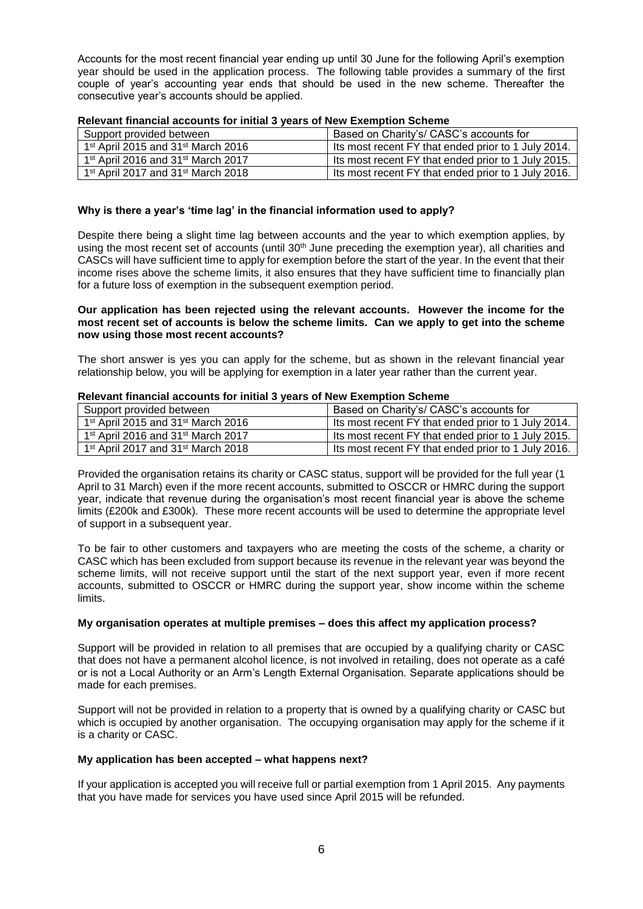Accounts for the most recent financial year ending up until 30 June for the following April's exemption year should be used in the application process. The following table provides a summary of the first couple of year's accounting year ends that should be used in the new scheme. Thereafter the consecutive year's accounts should be applied.

| Support provided between                                   | Based on Charity's/ CASC's accounts for             |
|------------------------------------------------------------|-----------------------------------------------------|
| 1 <sup>st</sup> April 2015 and 31 <sup>st</sup> March 2016 | Its most recent FY that ended prior to 1 July 2014. |
| 1 <sup>st</sup> April 2016 and 31 <sup>st</sup> March 2017 | Its most recent FY that ended prior to 1 July 2015. |
| 1 <sup>st</sup> April 2017 and 31 <sup>st</sup> March 2018 | Its most recent FY that ended prior to 1 July 2016. |

### **Relevant financial accounts for initial 3 years of New Exemption Scheme**

# **Why is there a year's 'time lag' in the financial information used to apply?**

Despite there being a slight time lag between accounts and the year to which exemption applies, by using the most recent set of accounts (until 30<sup>th</sup> June preceding the exemption year), all charities and CASCs will have sufficient time to apply for exemption before the start of the year. In the event that their income rises above the scheme limits, it also ensures that they have sufficient time to financially plan for a future loss of exemption in the subsequent exemption period.

# **Our application has been rejected using the relevant accounts. However the income for the most recent set of accounts is below the scheme limits. Can we apply to get into the scheme now using those most recent accounts?**

The short answer is yes you can apply for the scheme, but as shown in the relevant financial year relationship below, you will be applying for exemption in a later year rather than the current year.

# **Relevant financial accounts for initial 3 years of New Exemption Scheme**

| Support provided between                                   | Based on Charity's/ CASC's accounts for               |
|------------------------------------------------------------|-------------------------------------------------------|
| 1 <sup>st</sup> April 2015 and 31 <sup>st</sup> March 2016 | Its most recent FY that ended prior to 1 July 2014.   |
| 1 <sup>st</sup> April 2016 and 31 <sup>st</sup> March 2017 | Its most recent FY that ended prior to 1 July 2015.   |
| 1 <sup>st</sup> April 2017 and 31 <sup>st</sup> March 2018 | I Its most recent FY that ended prior to 1 July 2016. |

Provided the organisation retains its charity or CASC status, support will be provided for the full year (1 April to 31 March) even if the more recent accounts, submitted to OSCCR or HMRC during the support year, indicate that revenue during the organisation's most recent financial year is above the scheme limits (£200k and £300k). These more recent accounts will be used to determine the appropriate level of support in a subsequent year.

To be fair to other customers and taxpayers who are meeting the costs of the scheme, a charity or CASC which has been excluded from support because its revenue in the relevant year was beyond the scheme limits, will not receive support until the start of the next support year, even if more recent accounts, submitted to OSCCR or HMRC during the support year, show income within the scheme limits.

# **My organisation operates at multiple premises – does this affect my application process?**

Support will be provided in relation to all premises that are occupied by a qualifying charity or CASC that does not have a permanent alcohol licence, is not involved in retailing, does not operate as a café or is not a Local Authority or an Arm's Length External Organisation. Separate applications should be made for each premises.

Support will not be provided in relation to a property that is owned by a qualifying charity or CASC but which is occupied by another organisation. The occupying organisation may apply for the scheme if it is a charity or CASC.

### **My application has been accepted – what happens next?**

If your application is accepted you will receive full or partial exemption from 1 April 2015. Any payments that you have made for services you have used since April 2015 will be refunded.